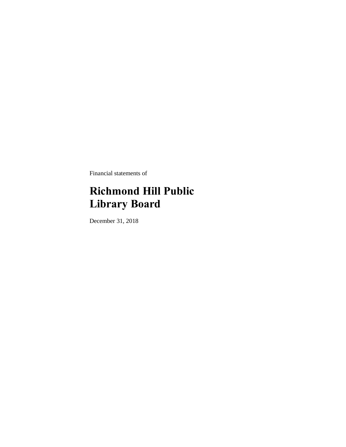Financial statements of

# **Richmond Hill Public Library Board**

December 31, 2018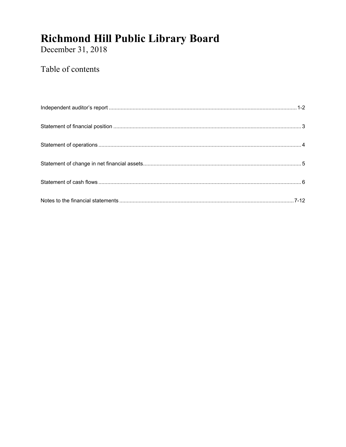December 31, 2018

## Table of contents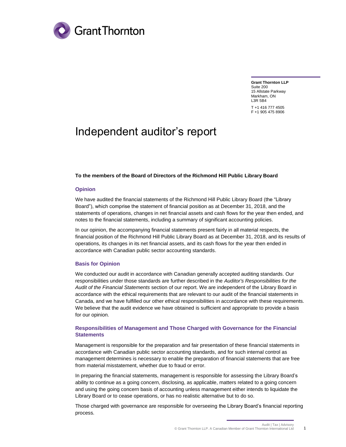

**Grant Thornton LLP** Suite 200 15 Allstate Parkway Markham, ON L3R 5B4 T +1 416 777 4505 F +1 905 475 8906

## Independent auditor's report

#### **To the members of the Board of Directors of the Richmond Hill Public Library Board**

#### **Opinion**

We have audited the financial statements of the Richmond Hill Public Library Board (the "Library Board"), which comprise the statement of financial position as at December 31, 2018, and the statements of operations, changes in net financial assets and cash flows for the year then ended, and notes to the financial statements, including a summary of significant accounting policies.

In our opinion, the accompanying financial statements present fairly in all material respects, the financial position of the Richmond Hill Public Library Board as at December 31, 2018, and its results of operations, its changes in its net financial assets, and its cash flows for the year then ended in accordance with Canadian public sector accounting standards.

#### **Basis for Opinion**

We conducted our audit in accordance with Canadian generally accepted auditing standards. Our responsibilities under those standards are further described in the *Auditor's Responsibilities for the Audit of the Financial Statements* section of our report. We are independent of the Library Board in accordance with the ethical requirements that are relevant to our audit of the financial statements in Canada, and we have fulfilled our other ethical responsibilities in accordance with these requirements. We believe that the audit evidence we have obtained is sufficient and appropriate to provide a basis for our opinion.

#### **Responsibilities of Management and Those Charged with Governance for the Financial Statements**

Management is responsible for the preparation and fair presentation of these financial statements in accordance with Canadian public sector accounting standards, and for such internal control as management determines is necessary to enable the preparation of financial statements that are free from material misstatement, whether due to fraud or error.

In preparing the financial statements, management is responsible for assessing the Library Board's ability to continue as a going concern, disclosing, as applicable, matters related to a going concern and using the going concern basis of accounting unless management either intends to liquidate the Library Board or to cease operations, or has no realistic alternative but to do so.

Those charged with governance are responsible for overseeing the Library Board's financial reporting process.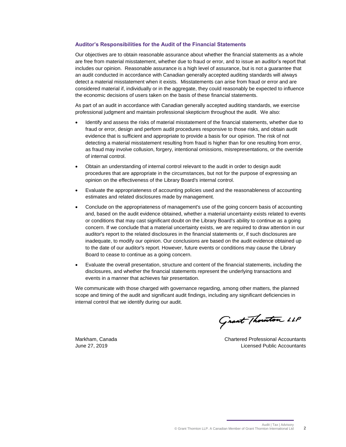#### **Auditor's Responsibilities for the Audit of the Financial Statements**

Our objectives are to obtain reasonable assurance about whether the financial statements as a whole are free from material misstatement, whether due to fraud or error, and to issue an auditor's report that includes our opinion. Reasonable assurance is a high level of assurance, but is not a guarantee that an audit conducted in accordance with Canadian generally accepted auditing standards will always detect a material misstatement when it exists. Misstatements can arise from fraud or error and are considered material if, individually or in the aggregate, they could reasonably be expected to influence the economic decisions of users taken on the basis of these financial statements.

As part of an audit in accordance with Canadian generally accepted auditing standards, we exercise professional judgment and maintain professional skepticism throughout the audit. We also:

- Identify and assess the risks of material misstatement of the financial statements, whether due to fraud or error, design and perform audit procedures responsive to those risks, and obtain audit evidence that is sufficient and appropriate to provide a basis for our opinion. The risk of not detecting a material misstatement resulting from fraud is higher than for one resulting from error, as fraud may involve collusion, forgery, intentional omissions, misrepresentations, or the override of internal control.
- Obtain an understanding of internal control relevant to the audit in order to design audit procedures that are appropriate in the circumstances, but not for the purpose of expressing an opinion on the effectiveness of the Library Board's internal control.
- Evaluate the appropriateness of accounting policies used and the reasonableness of accounting estimates and related disclosures made by management.
- Conclude on the appropriateness of management's use of the going concern basis of accounting and, based on the audit evidence obtained, whether a material uncertainty exists related to events or conditions that may cast significant doubt on the Library Board's ability to continue as a going concern. If we conclude that a material uncertainty exists, we are required to draw attention in our auditor's report to the related disclosures in the financial statements or, if such disclosures are inadequate, to modify our opinion. Our conclusions are based on the audit evidence obtained up to the date of our auditor's report. However, future events or conditions may cause the Library Board to cease to continue as a going concern.
- Evaluate the overall presentation, structure and content of the financial statements, including the disclosures, and whether the financial statements represent the underlying transactions and events in a manner that achieves fair presentation.

We communicate with those charged with governance regarding, among other matters, the planned scope and timing of the audit and significant audit findings, including any significant deficiencies in internal control that we identify during our audit.

Grant Thouston LLP

Markham, Canada Chartered Professional Accountants June 27, 2019 Licensed Public Accountants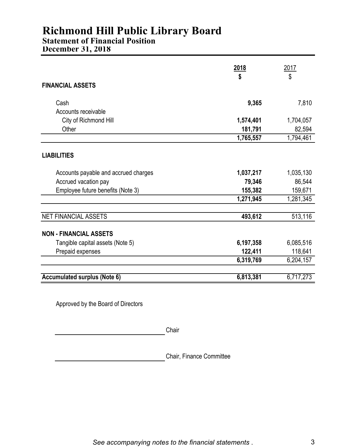### **Statement of Financial Position**

**December 31, 2018**

|                                      | <u>2018</u> | <u> 2017 </u> |
|--------------------------------------|-------------|---------------|
| <b>FINANCIAL ASSETS</b>              | \$          | \$            |
| Cash                                 | 9,365       | 7,810         |
| Accounts receivable                  |             |               |
| City of Richmond Hill                | 1,574,401   | 1,704,057     |
| Other                                | 181,791     | 82,594        |
|                                      | 1,765,557   | 1,794,461     |
| <b>LIABILITIES</b>                   |             |               |
|                                      |             |               |
| Accounts payable and accrued charges | 1,037,217   | 1,035,130     |
| Accrued vacation pay                 | 79,346      | 86,544        |
| Employee future benefits (Note 3)    | 155,382     | 159,671       |
|                                      | 1,271,945   | 1,281,345     |
| <b>NET FINANCIAL ASSETS</b>          | 493,612     | 513,116       |
| <b>NON - FINANCIAL ASSETS</b>        |             |               |
| Tangible capital assets (Note 5)     | 6,197,358   | 6,085,516     |
| Prepaid expenses                     | 122,411     | 118,641       |
|                                      | 6,319,769   | 6,204,157     |
|                                      |             |               |
| <b>Accumulated surplus (Note 6)</b>  | 6,813,381   | 6,717,273     |

Approved by the Board of Directors

**Chair** 

Chair, Finance Committee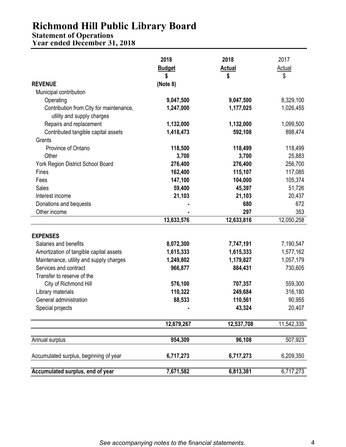### **Statement of Operations**

**Year ended December 31, 2018**

|                                                                       | 2018<br><b>Budget</b><br>\$ | 2018<br><b>Actual</b><br>\$ | 2017<br><b>Actual</b><br>\$ |
|-----------------------------------------------------------------------|-----------------------------|-----------------------------|-----------------------------|
| <b>REVENUE</b>                                                        | (Note 8)                    |                             |                             |
| Municipal contribution                                                |                             |                             |                             |
| Operating                                                             | 9,047,500                   | 9,047,500                   | 8,329,100                   |
| Contribution from City for maintenance,<br>utility and supply charges | 1,247,000                   | 1,177,025                   | 1,026,455                   |
| Repairs and replacement                                               | 1,132,000                   | 1,132,000                   | 1,099,500                   |
| Contributed tangible capital assets                                   | 1,418,473                   | 592,108                     | 898,474                     |
| Grants                                                                |                             |                             |                             |
| Province of Ontario                                                   | 118,500                     | 118,499                     | 118,499                     |
| Other                                                                 | 3,700                       | 3,700                       | 25,883                      |
| York Region District School Board                                     | 276,400                     | 276,400                     | 256,700                     |
| Fines                                                                 | 162,400                     | 115,107                     | 117,085                     |
| Fees                                                                  | 147,100                     | 104,000                     | 105,374                     |
| <b>Sales</b>                                                          | 59,400                      | 45,397                      | 51,726                      |
| Interest income                                                       | 21,103                      | 21,103                      | 20,437                      |
| Donations and bequests                                                |                             | 680                         | 672                         |
| Other income                                                          |                             | 297                         | 353                         |
|                                                                       | 13,633,576                  | 12,633,816                  | 12,050,258                  |
| <b>EXPENSES</b>                                                       |                             |                             |                             |
| Salaries and benefits                                                 | 8,072,300                   | 7,747,191                   | 7,190,547                   |
| Amortization of tangible capital assets                               | 1,615,333                   | 1,615,333                   | 1,577,162                   |
| Maintenance, utility and supply charges                               | 1,249,802                   | 1,179,827                   | 1,057,179                   |
| Services and contract                                                 | 966,877                     | 884,431                     | 730,605                     |
| Transfer to reserve of the                                            |                             |                             |                             |
| City of Richmond Hill                                                 | 576,100                     | 707,357                     | 559,300                     |
| Library materials                                                     | 110,322                     | 249,684                     | 316,180                     |
| General administration                                                | 88,533                      | 110,561                     | 90,955                      |
| Special projects                                                      |                             | 43,324                      | 20,407                      |
|                                                                       |                             |                             |                             |
|                                                                       | 12,679,267                  | 12,537,708                  | 11,542,335                  |
| Annual surplus                                                        | 954,309                     | 96,108                      | 507,923                     |
| Accumulated surplus, beginning of year                                | 6,717,273                   | 6,717,273                   | 6,209,350                   |
| Accumulated surplus, end of year                                      | 7,671,582                   | 6,813,381                   | 6,717,273                   |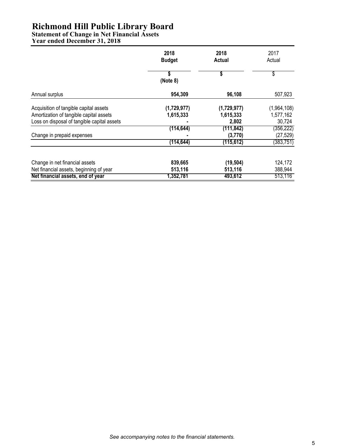**Statement of Change in Net Financial Assets**

**Year ended December 31, 2018**

|                                             | 2018<br><b>Budget</b> | 2018<br>Actual | 2017<br>Actual |
|---------------------------------------------|-----------------------|----------------|----------------|
|                                             | S<br>(Note 8)         | \$             | \$             |
| Annual surplus                              | 954,309               | 96,108         | 507,923        |
| Acquisition of tangible capital assets      | (1,729,977)           | (1,729,977)    | (1,964,108)    |
| Amortization of tangible capital assets     | 1,615,333             | 1,615,333      | 1,577,162      |
| Loss on disposal of tangible capital assets |                       | 2,802          | 30,724         |
|                                             | (114, 644)            | (111, 842)     | (356, 222)     |
| Change in prepaid expenses                  |                       | (3,770)        | (27, 529)      |
|                                             | (114, 644)            | (115, 612)     | (383,751)      |
| Change in net financial assets              | 839,665               | (19, 504)      | 124,172        |
| Net financial assets, beginning of year     | 513,116               | 513,116        | 388,944        |
| Net financial assets, end of year           | 1,352,781             | 493,612        | 513,116        |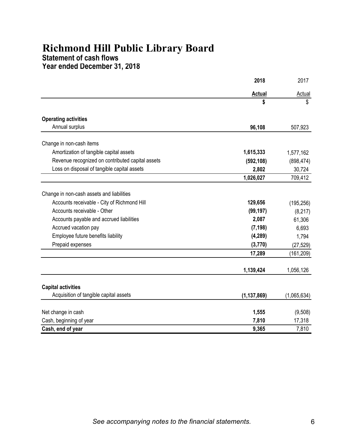## **Statement of cash flows**

**Year ended December 31, 2018**

|                                                  | 2018          | 2017          |
|--------------------------------------------------|---------------|---------------|
|                                                  | <b>Actual</b> | <b>Actual</b> |
|                                                  | \$            | \$            |
| <b>Operating activities</b>                      |               |               |
| Annual surplus                                   | 96,108        | 507,923       |
| Change in non-cash items                         |               |               |
| Amortization of tangible capital assets          | 1,615,333     | 1,577,162     |
| Revenue recognized on contributed capital assets | (592, 108)    | (898, 474)    |
| Loss on disposal of tangible capital assets      | 2,802         | 30,724        |
|                                                  | 1,026,027     | 709,412       |
| Change in non-cash assets and liabilities        |               |               |
| Accounts receivable - City of Richmond Hill      | 129,656       | (195, 256)    |
| Accounts receivable - Other                      | (99, 197)     | (8, 217)      |
| Accounts payable and accrued liabilities         | 2,087         | 61,306        |
| Accrued vacation pay                             | (7, 198)      | 6,693         |
| Employee future benefits liability               | (4, 289)      | 1,794         |
| Prepaid expenses                                 | (3,770)       | (27, 529)     |
|                                                  | 17,289        | (161, 209)    |
|                                                  | 1,139,424     | 1,056,126     |
| <b>Capital activities</b>                        |               |               |
| Acquisition of tangible capital assets           | (1, 137, 869) | (1,065,634)   |
| Net change in cash                               | 1,555         | (9,508)       |
| Cash, beginning of year                          | 7,810         | 17,318        |
| Cash, end of year                                | 9,365         | 7,810         |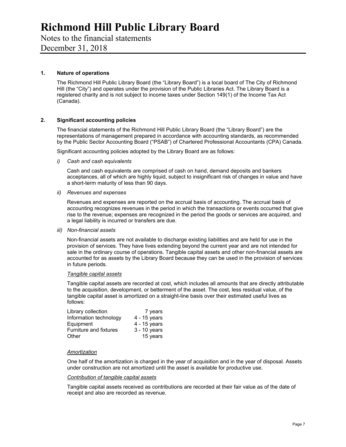### Notes to the financial statements

December 31, 2018

### **1. Nature of operations**

 The Richmond Hill Public Library Board (the "Library Board") is a local board of The City of Richmond Hill (the "City") and operates under the provision of the Public Libraries Act. The Library Board is a registered charity and is not subject to income taxes under Section 149(1) of the Income Tax Act (Canada).

#### **2. Significant accounting policies**

The financial statements of the Richmond Hill Public Library Board (the "Library Board") are the representations of management prepared in accordance with accounting standards, as recommended by the Public Sector Accounting Board ("PSAB") of Chartered Professional Accountants (CPA) Canada.

Significant accounting policies adopted by the Library Board are as follows:

#### *i) Cash and cash equivalents*

Cash and cash equivalents are comprised of cash on hand, demand deposits and bankers acceptances, all of which are highly liquid, subject to insignificant risk of changes in value and have a short-term maturity of less than 90 days.

*ii) Revenues and expenses* 

Revenues and expenses are reported on the accrual basis of accounting. The accrual basis of accounting recognizes revenues in the period in which the transactions or events occurred that give rise to the revenue; expenses are recognized in the period the goods or services are acquired, and a legal liability is incurred or transfers are due.

*iii) Non-financial assets* 

Non-financial assets are not available to discharge existing liabilities and are held for use in the provision of services. They have lives extending beyond the current year and are not intended for sale in the ordinary course of operations. Tangible capital assets and other non-financial assets are accounted for as assets by the Library Board because they can be used in the provision of services in future periods.

#### *Tangible capital assets*

Tangible capital assets are recorded at cost, which includes all amounts that are directly attributable to the acquisition, development, or betterment of the asset. The cost, less residual value, of the tangible capital asset is amortized on a straight-line basis over their estimated useful lives as follows:

| Library collection     | 7 years      |
|------------------------|--------------|
| Information technology | 4 - 15 years |
| Equipment              | 4 - 15 years |
| Furniture and fixtures | 3 - 10 years |
| Other                  | 15 years     |

#### *Amortization*

One half of the amortization is charged in the year of acquisition and in the year of disposal. Assets under construction are not amortized until the asset is available for productive use.

#### *Contribution of tangible capital assets*

Tangible capital assets received as contributions are recorded at their fair value as of the date of receipt and also are recorded as revenue.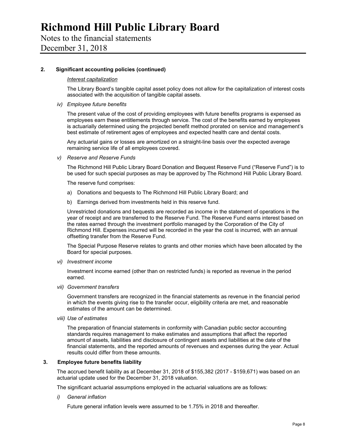### Notes to the financial statements

December 31, 2018

### **2. Significant accounting policies (continued)**

#### *Interest capitalization*

The Library Board's tangible capital asset policy does not allow for the capitalization of interest costs associated with the acquisition of tangible capital assets.

#### *iv) Employee future benefits*

The present value of the cost of providing employees with future benefits programs is expensed as employees earn these entitlements through service. The cost of the benefits earned by employees is actuarially determined using the projected benefit method prorated on service and management's best estimate of retirement ages of employees and expected health care and dental costs.

Any actuarial gains or losses are amortized on a straight-line basis over the expected average remaining service life of all employees covered.

*v) Reserve and Reserve Funds* 

The Richmond Hill Public Library Board Donation and Bequest Reserve Fund ("Reserve Fund") is to be used for such special purposes as may be approved by The Richmond Hill Public Library Board.

The reserve fund comprises:

- a) Donations and bequests to The Richmond Hill Public Library Board; and
- b) Earnings derived from investments held in this reserve fund.

Unrestricted donations and bequests are recorded as income in the statement of operations in the year of receipt and are transferred to the Reserve Fund. The Reserve Fund earns interest based on the rates earned through the investment portfolio managed by the Corporation of the City of Richmond Hill. Expenses incurred will be recorded in the year the cost is incurred, with an annual offsetting transfer from the Reserve Fund.

The Special Purpose Reserve relates to grants and other monies which have been allocated by the Board for special purposes.

*vi) Investment income* 

Investment income earned (other than on restricted funds) is reported as revenue in the period earned.

*vii) Government transfers* 

Government transfers are recognized in the financial statements as revenue in the financial period in which the events giving rise to the transfer occur, eligibility criteria are met, and reasonable estimates of the amount can be determined.

*viii) Use of estimates* 

The preparation of financial statements in conformity with Canadian public sector accounting standards requires management to make estimates and assumptions that affect the reported amount of assets, liabilities and disclosure of contingent assets and liabilities at the date of the financial statements, and the reported amounts of revenues and expenses during the year. Actual results could differ from these amounts.

#### **3. Employee future benefits liability**

The accrued benefit liability as at December 31, 2018 of \$155,382 (2017 - \$159,671) was based on an actuarial update used for the December 31, 2018 valuation.

The significant actuarial assumptions employed in the actuarial valuations are as follows:

*i) General inflation* 

Future general inflation levels were assumed to be 1.75% in 2018 and thereafter.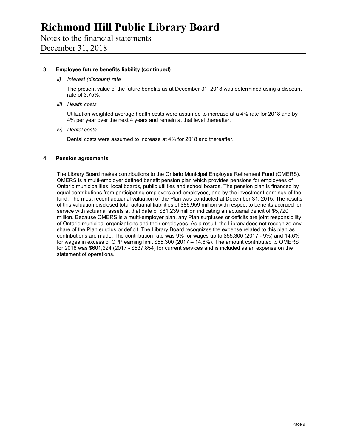Notes to the financial statements December 31, 2018

#### **3. Employee future benefits liability (continued)**

#### *ii) Interest (discount) rate*

The present value of the future benefits as at December 31, 2018 was determined using a discount rate of 3.75%.

*iii) Health costs* 

Utilization weighted average health costs were assumed to increase at a 4% rate for 2018 and by 4% per year over the next 4 years and remain at that level thereafter.

*iv) Dental costs* 

Dental costs were assumed to increase at 4% for 2018 and thereafter.

#### **4. Pension agreements**

The Library Board makes contributions to the Ontario Municipal Employee Retirement Fund (OMERS). OMERS is a multi-employer defined benefit pension plan which provides pensions for employees of Ontario municipalities, local boards, public utilities and school boards. The pension plan is financed by equal contributions from participating employers and employees, and by the investment earnings of the fund. The most recent actuarial valuation of the Plan was conducted at December 31, 2015. The results of this valuation disclosed total actuarial liabilities of \$86,959 million with respect to benefits accrued for service with actuarial assets at that date of \$81,239 million indicating an actuarial deficit of \$5,720 million. Because OMERS is a multi-employer plan, any Plan surpluses or deficits are joint responsibility of Ontario municipal organizations and their employees. As a result, the Library does not recognize any share of the Plan surplus or deficit. The Library Board recognizes the expense related to this plan as contributions are made. The contribution rate was 9% for wages up to \$55,300 (2017 - 9%) and 14.6% for wages in excess of CPP earning limit \$55,300 (2017 – 14.6%). The amount contributed to OMERS for 2018 was \$601,224 (2017 - \$537,854) for current services and is included as an expense on the statement of operations.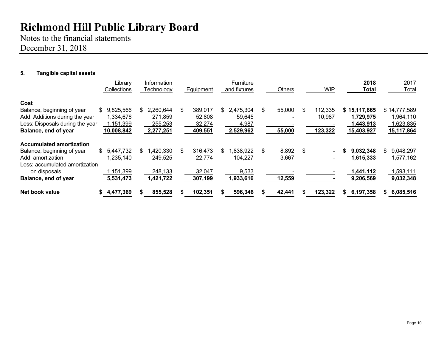Notes to the financial statements December 31, 2018

### **5. Tangible capital assets**

|                                                                                                                                                              |     | Library<br>Collections                            |     | Information<br>Technology                    | Equipment                                    |     | <b>Furniture</b><br>and fixtures           | <b>Others</b>                  | <b>WIP</b>                         | 2018<br><b>Total</b>                                 |     | 2017<br>Total                                        |
|--------------------------------------------------------------------------------------------------------------------------------------------------------------|-----|---------------------------------------------------|-----|----------------------------------------------|----------------------------------------------|-----|--------------------------------------------|--------------------------------|------------------------------------|------------------------------------------------------|-----|------------------------------------------------------|
| Cost<br>Balance, beginning of year<br>Add: Additions during the year<br>Less: Disposals during the year<br>Balance, end of year                              | SS. | 9,825,566<br>1,334,676<br>1,151,399<br>10,008,842 | \$. | 2,260,644<br>271,859<br>255,253<br>2,277,251 | \$<br>389,017<br>52,808<br>32,274<br>409,551 | \$. | 2,475,304<br>59,645<br>4,987<br>2,529,962  | \$<br>55,000<br>55,000         | \$<br>112,335<br>10,987<br>123,322 | \$15,117,865<br>1,729,975<br>1,443,913<br>15,403,927 |     | \$14,777,589<br>1,964,110<br>1,623,835<br>15,117,864 |
| <b>Accumulated amortization</b><br>Balance, beginning of year<br>Add: amortization<br>Less: accumulated amortization<br>on disposals<br>Balance, end of year | S.  | 5,447,732<br>1,235,140<br>1,151,399<br>5,531,473  | \$. | ,420,330<br>249,525<br>248,133<br>1,421,722  | \$<br>316,473<br>22,774<br>32,047<br>307,199 | \$. | 1,838,922<br>104,227<br>9,533<br>1,933,616 | \$<br>8,892<br>3,667<br>12,559 | \$<br>$\sim$                       | 9,032,348<br>1,615,333<br>1,441,112<br>9,206,569     | \$. | 9,048,297<br>1,577,162<br>,593,111<br>9,032,348      |
| Net book value                                                                                                                                               |     | 4,477,369                                         |     | 855,528                                      | 102,351                                      |     | 596,346                                    | 42,441                         | 123,322                            | 6,197,358<br>S.                                      | S.  | 6,085,516                                            |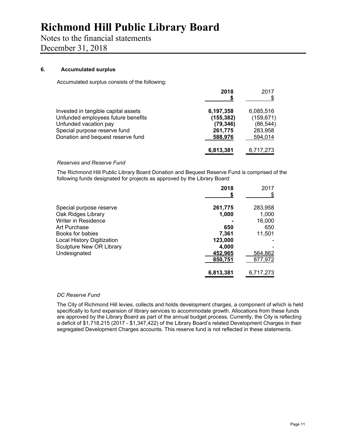Notes to the financial statements

December 31, 2018

### **6. Accumulated surplus**

Accumulated surplus consists of the following:

|                                                             | 2018                    | 2017                    |
|-------------------------------------------------------------|-------------------------|-------------------------|
| Invested in tangible capital assets                         | 6,197,358               | 6,085,516               |
| Unfunded employees future benefits<br>Unfunded vacation pay | (155, 382)<br>(79, 346) | (159, 671)<br>(86, 544) |
| Special purpose reserve fund                                | 261,775                 | 283,958                 |
| Donation and bequest reserve fund                           | 588,976                 | 594,014                 |
|                                                             | 6,813,381               | 6,717,273               |

### *Reserves and Reserve Fund*

The Richmond Hill Public Library Board Donation and Bequest Reserve Fund is comprised of the following funds designated for projects as approved by the Library Board:

|                                   | 2018      | 2017<br>S |
|-----------------------------------|-----------|-----------|
| Special purpose reserve           | 261,775   | 283,958   |
| Oak Ridges Library                | 1,000     | 1,000     |
| Writer in Residence               |           | 16,000    |
| Art Purchase                      | 650       | 650       |
| Books for babies                  | 7,361     | 11,501    |
| <b>Local History Digitization</b> | 123,000   |           |
| <b>Sculpture New OR Library</b>   | 4,000     |           |
| Undesignated                      | 452,965   | 564,862   |
|                                   | 850,751   | 877,972   |
|                                   | 6,813,381 | 6,717,273 |

### *DC Reserve Fund*

The City of Richmond Hill levies, collects and holds development charges, a component of which is held specifically to fund expansion of library services to accommodate growth. Allocations from these funds are approved by the Library Board as part of the annual budget process. Currently, the City is reflecting a deficit of \$1,718,215 (2017 - \$1,347,422) of the Library Board's related Development Charges in their segregated Development Charges accounts. This reserve fund is not reflected in these statements.